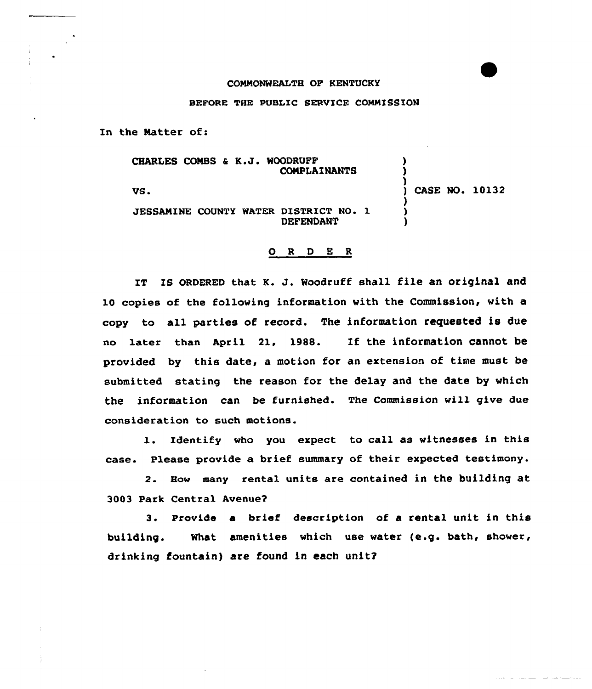## COMMONWEALTH OF KENTUCKY

## BEFGRE THE PUBLIC SERVICE COMMISSION

In the Matter of:

CHARLES COMBS & K.J. WOODRUFF COMPLAINANTS

VS.

CASE NO. 10132

<sup>)</sup>

JESSAMINE COUNTY WATER DISTRICT NO. 1 DEFENDANT

## 0 <sup>R</sup> <sup>D</sup> <sup>E</sup> <sup>R</sup>

IT IS ORDERED that K. J. Woodruff shall file an original and 10 copies of the following information with the Commission, with a copy to all parties of record. The information requested is due no later than April 21, 1988. If the information cannot be provided by this date, a motion for an extension of time must be submitted stating the reason for the delay and the date by which the information can be furnished. The Commission will give due consideration to such motions.

1. Identify who you expect to call as witnesses in this case. Please provide a brief summary of their expected testimony.

2. How many rental units are contained in the building at 3003 Park Central Avenue2

3. Provide a brief description of a rental unit in this building. What amenities which use water (e.g. bath, shower, drinking fountain) are found in each unit?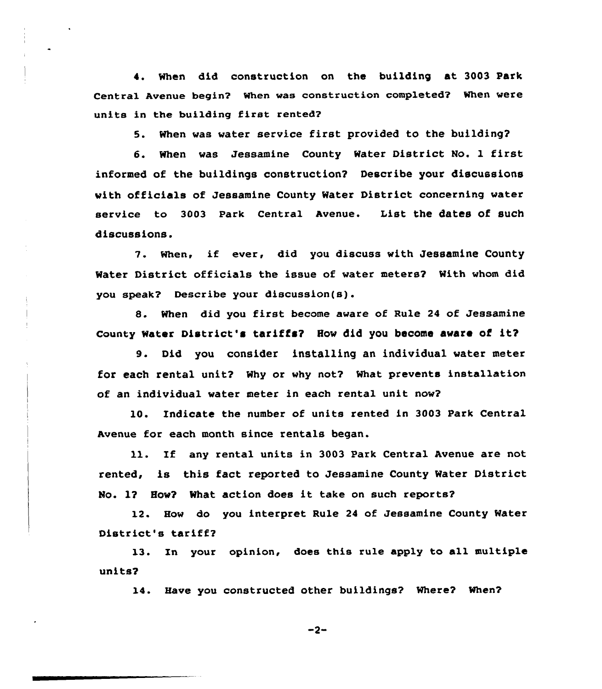4. When did construction on the building at 3003 Park Central Avenue begin? When was construction completed? When were units in the building first rented?

5. When was water service first provided to the building?

6. When was Jessamine County Water District No. 1 first informed of the buildings construction? Describe your discussions with officials of Jessamine County Water District concerning water service to 3003 Park Central Avenue. List the dates of such discussions.

7. when, if ever, did you discuss with Jessamine County Mater District officials the issue of water meters? With whom did you speak? Describe your discussion(s).

8. When did you first become aware of Rule <sup>24</sup> of Jessamine County Water District's tariffs? How did you become aware of it?

9. Did you consider installing an individual water meter for each rental unit? Why or why not? What prevents installation of an individual water meter in each rental unit now?

10. Indicate the number of units rented in 3003 Park Central Avenue for each month since rentals began.

11. If any rental units in 3003 Park Central Avenue are not rented, is this fact reported to Jessamine County Mater District No. 1? How? What action does it take on such reports?

12. How do you interpret Rule 24 of Jessamine County Mater District's tariff?

l3. In your opinion, does this rule apply to all multiple units?

14. Have you constructed other buildings? Where? When?

 $-2-$